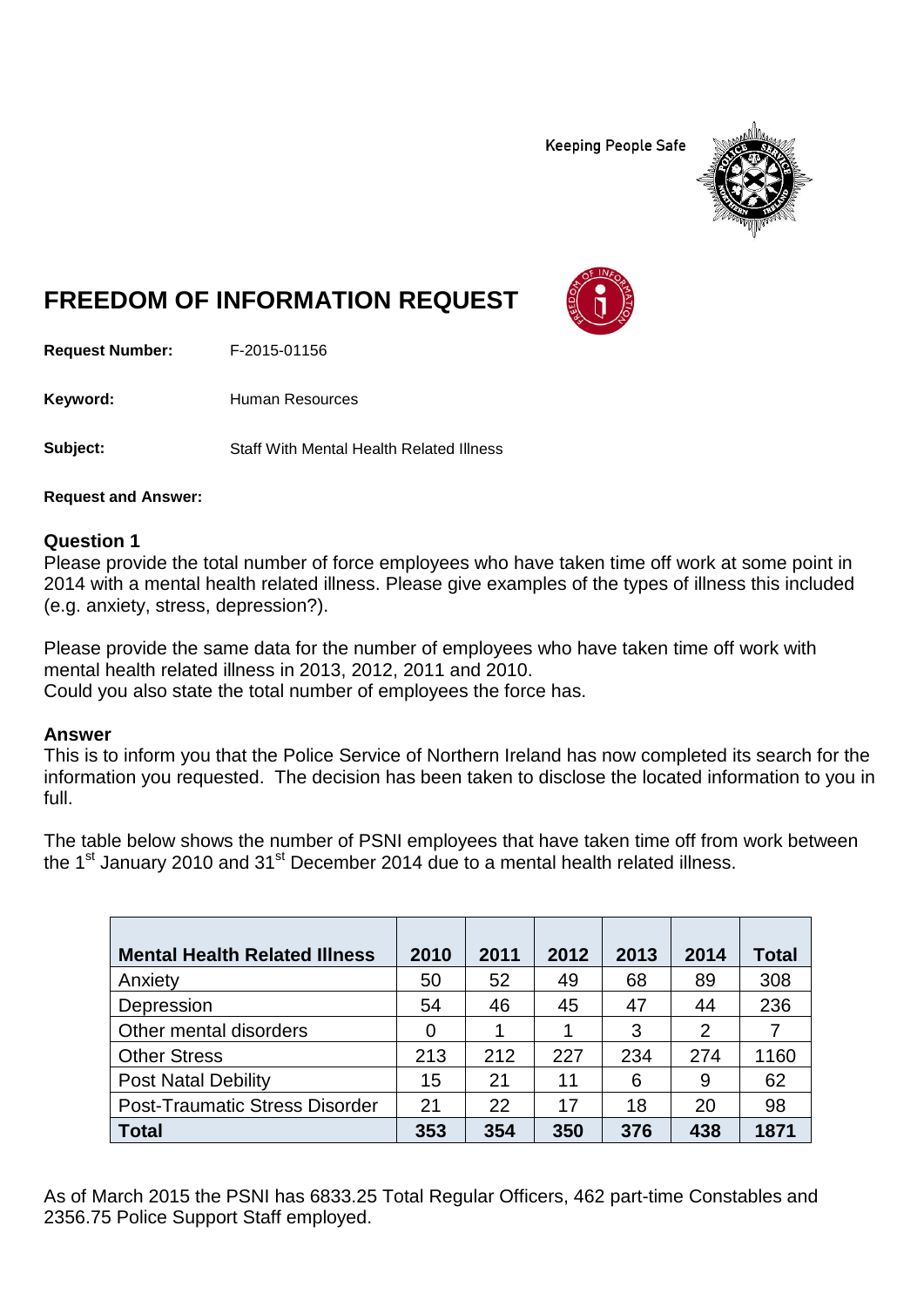**Keeping People Safe** 



# **FREEDOM OF INFORMATION REQUEST**

**Request Number:** F-2015-01156

Keyword: Human Resources

**Subject:** Staff With Mental Health Related Illness

**Request and Answer:**

#### **Question 1**

Please provide the total number of force employees who have taken time off work at some point in 2014 with a mental health related illness. Please give examples of the types of illness this included (e.g. anxiety, stress, depression?).

Please provide the same data for the number of employees who have taken time off work with mental health related illness in 2013, 2012, 2011 and 2010. Could you also state the total number of employees the force has.

#### **Answer**

This is to inform you that the Police Service of Northern Ireland has now completed its search for the information you requested. The decision has been taken to disclose the located information to you in full.

The table below shows the number of PSNI employees that have taken time off from work between the  $1<sup>st</sup>$  January 2010 and  $31<sup>st</sup>$  December 2014 due to a mental health related illness.

| <b>Mental Health Related Illness</b>  | 2010 | 2011 | 2012 | 2013 | 2014 | Total |
|---------------------------------------|------|------|------|------|------|-------|
| Anxiety                               | 50   | 52   | 49   | 68   | 89   | 308   |
| Depression                            | 54   | 46   | 45   | 47   | 44   | 236   |
| Other mental disorders                | 0    |      |      | 3    | 2    |       |
| <b>Other Stress</b>                   | 213  | 212  | 227  | 234  | 274  | 1160  |
| <b>Post Natal Debility</b>            | 15   | 21   | 11   | 6    | 9    | 62    |
| <b>Post-Traumatic Stress Disorder</b> | 21   | 22   | 17   | 18   | 20   | 98    |
| <b>Total</b>                          | 353  | 354  | 350  | 376  | 438  | 1871  |

As of March 2015 the PSNI has 6833.25 Total Regular Officers, 462 part-time Constables and 2356.75 Police Support Staff employed.